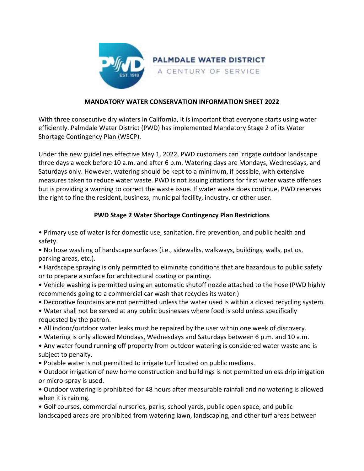

## **MANDATORY WATER CONSERVATION INFORMATION SHEET 2022**

With three consecutive dry winters in California, it is important that everyone starts using water efficiently. Palmdale Water District (PWD) has implemented Mandatory Stage 2 of its Water Shortage Contingency Plan (WSCP).

Under the new guidelines effective May 1, 2022, PWD customers can irrigate outdoor landscape three days a week before 10 a.m. and after 6 p.m. Watering days are Mondays, Wednesdays, and Saturdays only. However, watering should be kept to a minimum, if possible, with extensive measures taken to reduce water waste. PWD is not issuing citations for first water waste offenses but is providing a warning to correct the waste issue. If water waste does continue, PWD reserves the right to fine the resident, business, municipal facility, industry, or other user.

## **PWD Stage 2 Water Shortage Contingency Plan Restrictions**

• Primary use of water is for domestic use, sanitation, fire prevention, and public health and safety.

• No hose washing of hardscape surfaces (i.e., sidewalks, walkways, buildings, walls, patios, parking areas, etc.).

• Hardscape spraying is only permitted to eliminate conditions that are hazardous to public safety or to prepare a surface for architectural coating or painting.

• Vehicle washing is permitted using an automatic shutoff nozzle attached to the hose (PWD highly recommends going to a commercial car wash that recycles its water.)

• Decorative fountains are not permitted unless the water used is within a closed recycling system.

• Water shall not be served at any public businesses where food is sold unless specifically requested by the patron.

- All indoor/outdoor water leaks must be repaired by the user within one week of discovery.
- Watering is only allowed Mondays, Wednesdays and Saturdays between 6 p.m. and 10 a.m.
- Any water found running off property from outdoor watering is considered water waste and is subject to penalty.
- Potable water is not permitted to irrigate turf located on public medians.

• Outdoor irrigation of new home construction and buildings is not permitted unless drip irrigation or micro-spray is used.

• Outdoor watering is prohibited for 48 hours after measurable rainfall and no watering is allowed when it is raining.

• Golf courses, commercial nurseries, parks, school yards, public open space, and public landscaped areas are prohibited from watering lawn, landscaping, and other turf areas between